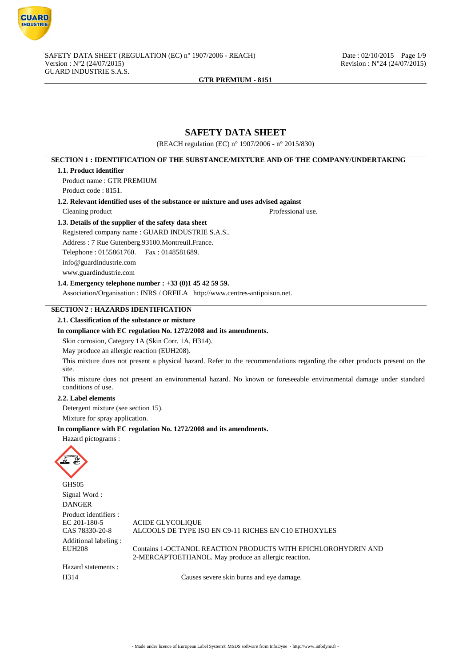

# **SAFETY DATA SHEET**

(REACH regulation (EC) n° 1907/2006 - n° 2015/830)

## **SECTION 1 : IDENTIFICATION OF THE SUBSTANCE/MIXTURE AND OF THE COMPANY/UNDERTAKING**

#### **1.1. Product identifier**

Product name : GTR PREMIUM Product code : 8151.

**1.2. Relevant identified uses of the substance or mixture and uses advised against**

Cleaning product Professional use.

**1.3. Details of the supplier of the safety data sheet**

Registered company name : GUARD INDUSTRIE S.A.S..

Address : 7 Rue Gutenberg.93100.Montreuil.France. Telephone : 0155861760. Fax : 0148581689. info@guardindustrie.com www.guardindustrie.com

## **1.4. Emergency telephone number : +33 (0)1 45 42 59 59.**

Association/Organisation : INRS / ORFILA http://www.centres-antipoison.net.

## **SECTION 2 : HAZARDS IDENTIFICATION**

#### **2.1. Classification of the substance or mixture**

#### **In compliance with EC regulation No. 1272/2008 and its amendments.**

Skin corrosion, Category 1A (Skin Corr. 1A, H314).

May produce an allergic reaction (EUH208).

This mixture does not present a physical hazard. Refer to the recommendations regarding the other products present on the site.

This mixture does not present an environmental hazard. No known or foreseeable environmental damage under standard conditions of use.

#### **2.2. Label elements**

Detergent mixture (see section 15).

Mixture for spray application.

#### **In compliance with EC regulation No. 1272/2008 and its amendments.**

Hazard pictograms :



GHS05 Signal Word : DANGER Product identifiers :<br>EC 201-180-5 EC 201-180-5 ACIDE GLYCOLIQUE<br>CAS 78330-20-8 ALCOOLS DE TYPE IS ALCOOLS DE TYPE ISO EN C9-11 RICHES EN C10 ETHOXYLES Additional labeling : Contains 1-OCTANOL REACTION PRODUCTS WITH EPICHLOROHYDRIN AND 2-MERCAPTOETHANOL. May produce an allergic reaction. Hazard statements :

H314 Causes severe skin burns and eve damage.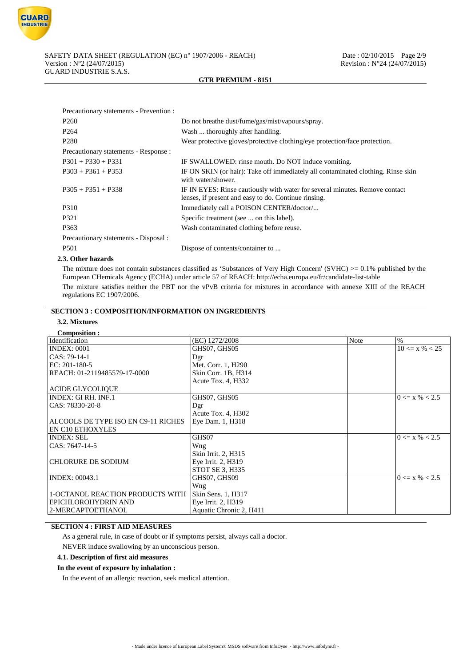

| Precautionary statements - Prevention : |                                                                                                                                     |
|-----------------------------------------|-------------------------------------------------------------------------------------------------------------------------------------|
| P <sub>260</sub>                        | Do not breathe dust/fume/gas/mist/vapours/spray.                                                                                    |
| P <sub>264</sub>                        | Wash  thoroughly after handling.                                                                                                    |
| P <sub>280</sub>                        | Wear protective gloves/protective clothing/eye protection/face protection.                                                          |
| Precautionary statements - Response :   |                                                                                                                                     |
| $P301 + P330 + P331$                    | IF SWALLOWED: rinse mouth. Do NOT induce vomiting.                                                                                  |
| $P303 + P361 + P353$                    | IF ON SKIN (or hair): Take off immediately all contaminated clothing. Rinse skin<br>with water/shower.                              |
| $P305 + P351 + P338$                    | IF IN EYES: Rinse cautiously with water for several minutes. Remove contact<br>lenses, if present and easy to do. Continue rinsing. |
| P310                                    | Immediately call a POISON CENTER/doctor/                                                                                            |
| P321                                    | Specific treatment (see  on this label).                                                                                            |
| P363                                    | Wash contaminated clothing before reuse.                                                                                            |
| Precautionary statements - Disposal :   |                                                                                                                                     |
| P <sub>501</sub>                        | Dispose of contents/container to                                                                                                    |
|                                         |                                                                                                                                     |

#### **2.3. Other hazards**

The mixture does not contain substances classified as 'Substances of Very High Concern' (SVHC)  $> = 0.1\%$  published by the European CHemicals Agency (ECHA) under article 57 of REACH: http://echa.europa.eu/fr/candidate-list-table The mixture satisfies neither the PBT nor the vPvB criteria for mixtures in accordance with annexe XIII of the REACH regulations EC 1907/2006.

# **SECTION 3 : COMPOSITION/INFORMATION ON INGREDIENTS**

## **3.2. Mixtures**

| <b>Composition:</b>                     |                         |             |                    |
|-----------------------------------------|-------------------------|-------------|--------------------|
| Identification                          | (EC) 1272/2008          | <b>Note</b> | $\%$               |
| <b>INDEX: 0001</b>                      | GHS07, GHS05            |             | $10 \le x \% < 25$ |
| CAS: 79-14-1                            | Dgr                     |             |                    |
| $EC: 201-180-5$                         | Met. Corr. 1, H290      |             |                    |
| REACH: 01-2119485579-17-0000            | Skin Corr. 1B, H314     |             |                    |
|                                         | Acute Tox. 4, H332      |             |                    |
| <b>ACIDE GLYCOLIQUE</b>                 |                         |             |                    |
| <b>INDEX: GI RH. INF.1</b>              | GHS07, GHS05            |             | $0 \le x \% < 2.5$ |
| CAS: 78330-20-8                         | Dgr                     |             |                    |
|                                         | Acute Tox. 4, H302      |             |                    |
| ALCOOLS DE TYPE ISO EN C9-11 RICHES     | Eye Dam. 1, H318        |             |                    |
| <b>EN C10 ETHOXYLES</b>                 |                         |             |                    |
| <b>INDEX: SEL</b>                       | GHS07                   |             | $0 \le x \% < 2.5$ |
| CAS: 7647-14-5                          | Wng                     |             |                    |
|                                         | Skin Irrit. 2, H315     |             |                    |
| <b>CHLORURE DE SODIUM</b>               | Eye Irrit. 2, H319      |             |                    |
|                                         | STOT SE 3, H335         |             |                    |
| <b>INDEX: 00043.1</b>                   | GHS07, GHS09            |             | $0 \le x \% < 2.5$ |
|                                         | Wng                     |             |                    |
| <b>1-OCTANOL REACTION PRODUCTS WITH</b> | Skin Sens. 1, H317      |             |                    |
| EPICHLOROHYDRIN AND                     | Eye Irrit. 2, H319      |             |                    |
| 2-MERCAPTOETHANOL                       | Aquatic Chronic 2, H411 |             |                    |

## **SECTION 4 : FIRST AID MEASURES**

As a general rule, in case of doubt or if symptoms persist, always call a doctor.

NEVER induce swallowing by an unconscious person.

**4.1. Description of first aid measures**

## **In the event of exposure by inhalation :**

In the event of an allergic reaction, seek medical attention.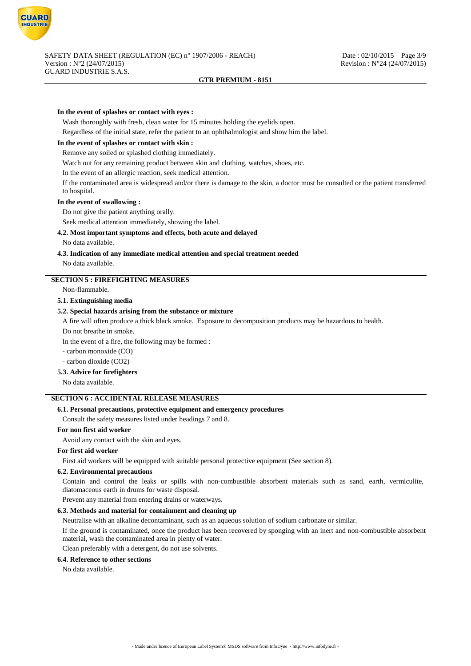

#### **In the event of splashes or contact with eyes :**

Wash thoroughly with fresh, clean water for 15 minutes holding the eyelids open.

Regardless of the initial state, refer the patient to an ophthalmologist and show him the label.

## **In the event of splashes or contact with skin :**

Remove any soiled or splashed clothing immediately.

Watch out for any remaining product between skin and clothing, watches, shoes, etc.

In the event of an allergic reaction, seek medical attention.

If the contaminated area is widespread and/or there is damage to the skin, a doctor must be consulted or the patient transferred to hospital.

#### **In the event of swallowing :**

Do not give the patient anything orally.

Seek medical attention immediately, showing the label.

#### **4.2. Most important symptoms and effects, both acute and delayed**

No data available.

#### **4.3. Indication of any immediate medical attention and special treatment needed**

No data available.

#### **SECTION 5 : FIREFIGHTING MEASURES**

Non-flammable.

## **5.1. Extinguishing media**

## **5.2. Special hazards arising from the substance or mixture**

A fire will often produce a thick black smoke. Exposure to decomposition products may be hazardous to health.

Do not breathe in smoke.

In the event of a fire, the following may be formed :

- carbon monoxide (CO)

- carbon dioxide (CO2)

## **5.3. Advice for firefighters**

No data available.

## **SECTION 6 : ACCIDENTAL RELEASE MEASURES**

#### **6.1. Personal precautions, protective equipment and emergency procedures**

Consult the safety measures listed under headings 7 and 8.

## **For non first aid worker**

Avoid any contact with the skin and eyes.

#### **For first aid worker**

First aid workers will be equipped with suitable personal protective equipment (See section 8).

#### **6.2. Environmental precautions**

Contain and control the leaks or spills with non-combustible absorbent materials such as sand, earth, vermiculite, diatomaceous earth in drums for waste disposal.

Prevent any material from entering drains or waterways.

## **6.3. Methods and material for containment and cleaning up**

Neutralise with an alkaline decontaminant, such as an aqueous solution of sodium carbonate or similar.

If the ground is contaminated, once the product has been recovered by sponging with an inert and non-combustible absorbent material, wash the contaminated area in plenty of water.

Clean preferably with a detergent, do not use solvents.

## **6.4. Reference to other sections**

No data available.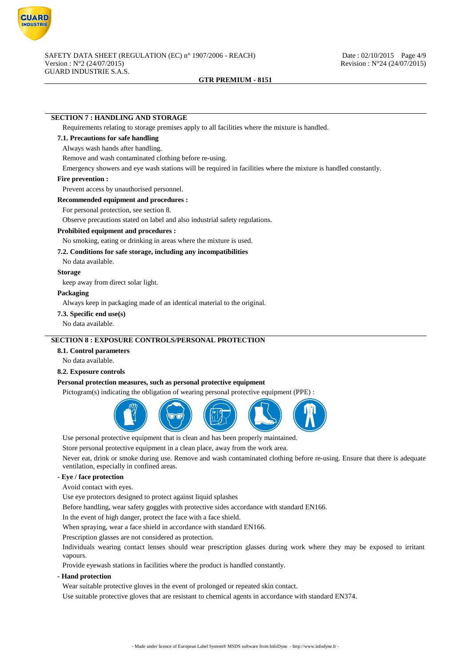

## **SECTION 7 : HANDLING AND STORAGE**

Requirements relating to storage premises apply to all facilities where the mixture is handled.

## **7.1. Precautions for safe handling**

#### Always wash hands after handling.

Remove and wash contaminated clothing before re-using.

Emergency showers and eye wash stations will be required in facilities where the mixture is handled constantly.

#### **Fire prevention :**

Prevent access by unauthorised personnel.

#### **Recommended equipment and procedures :**

For personal protection, see section 8.

Observe precautions stated on label and also industrial safety regulations.

#### **Prohibited equipment and procedures :**

No smoking, eating or drinking in areas where the mixture is used.

#### **7.2. Conditions for safe storage, including any incompatibilities**

No data available.

#### **Storage**

keep away from direct solar light.

#### **Packaging**

Always keep in packaging made of an identical material to the original.

#### **7.3. Specific end use(s)**

No data available.

## **SECTION 8 : EXPOSURE CONTROLS/PERSONAL PROTECTION**

## **8.1. Control parameters**

No data available.

## **8.2. Exposure controls**

#### **Personal protection measures, such as personal protective equipment**

Pictogram(s) indicating the obligation of wearing personal protective equipment (PPE) :



Use personal protective equipment that is clean and has been properly maintained.

Store personal protective equipment in a clean place, away from the work area.

Never eat, drink or smoke during use. Remove and wash contaminated clothing before re-using. Ensure that there is adequate ventilation, especially in confined areas.

#### **- Eye / face protection**

Avoid contact with eyes.

Use eye protectors designed to protect against liquid splashes

Before handling, wear safety goggles with protective sides accordance with standard EN166.

In the event of high danger, protect the face with a face shield.

When spraying, wear a face shield in accordance with standard EN166.

Prescription glasses are not considered as protection.

Individuals wearing contact lenses should wear prescription glasses during work where they may be exposed to irritant vapours.

Provide eyewash stations in facilities where the product is handled constantly.

#### **- Hand protection**

Wear suitable protective gloves in the event of prolonged or repeated skin contact.

Use suitable protective gloves that are resistant to chemical agents in accordance with standard EN374.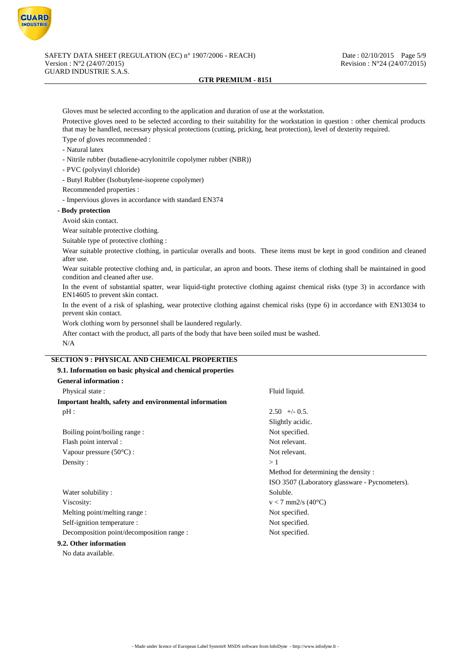

Gloves must be selected according to the application and duration of use at the workstation.

Protective gloves need to be selected according to their suitability for the workstation in question : other chemical products that may be handled, necessary physical protections (cutting, pricking, heat protection), level of dexterity required.

- Type of gloves recommended :
- Natural latex
- Nitrile rubber (butadiene-acrylonitrile copolymer rubber (NBR))
- PVC (polyvinyl chloride)
- Butyl Rubber (Isobutylene-isoprene copolymer)
- Recommended properties :
- Impervious gloves in accordance with standard EN374

#### **- Body protection**

Avoid skin contact.

Wear suitable protective clothing.

Suitable type of protective clothing :

Wear suitable protective clothing, in particular overalls and boots. These items must be kept in good condition and cleaned after use.

Wear suitable protective clothing and, in particular, an apron and boots. These items of clothing shall be maintained in good condition and cleaned after use.

In the event of substantial spatter, wear liquid-tight protective clothing against chemical risks (type 3) in accordance with EN14605 to prevent skin contact.

In the event of a risk of splashing, wear protective clothing against chemical risks (type 6) in accordance with EN13034 to prevent skin contact.

Work clothing worn by personnel shall be laundered regularly.

After contact with the product, all parts of the body that have been soiled must be washed. N/A

## **SECTION 9 : PHYSICAL AND CHEMICAL PROPERTIES**

| 9.1. Information on basic physical and chemical properties |                                                |  |  |  |
|------------------------------------------------------------|------------------------------------------------|--|--|--|
| <b>General information:</b>                                |                                                |  |  |  |
| Physical state:                                            | Fluid liquid.                                  |  |  |  |
| Important health, safety and environmental information     |                                                |  |  |  |
| pH:                                                        | $2.50 +/- 0.5$ .                               |  |  |  |
|                                                            | Slightly acidic.                               |  |  |  |
| Boiling point/boiling range :                              | Not specified.                                 |  |  |  |
| Flash point interval :                                     | Not relevant.                                  |  |  |  |
| Vapour pressure $(50^{\circ}C)$ :                          | Not relevant.                                  |  |  |  |
| Density:                                                   | >1                                             |  |  |  |
|                                                            | Method for determining the density:            |  |  |  |
|                                                            | ISO 3507 (Laboratory glassware - Pycnometers). |  |  |  |
| Water solubility:                                          | Soluble.                                       |  |  |  |
| Viscosity:                                                 | $v < 7$ mm2/s (40°C)                           |  |  |  |
| Melting point/melting range :                              | Not specified.                                 |  |  |  |
| Self-ignition temperature :                                | Not specified.                                 |  |  |  |
| Decomposition point/decomposition range :                  | Not specified.                                 |  |  |  |
| 9.2. Other information                                     |                                                |  |  |  |

No data available.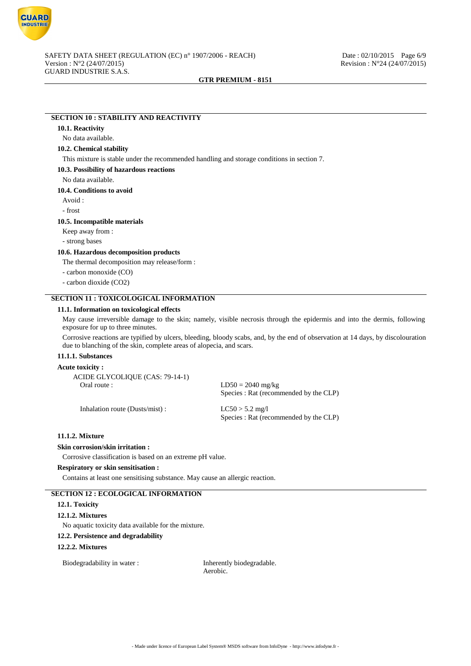

# **SECTION 10 : STABILITY AND REACTIVITY**

#### **10.1. Reactivity**

No data available.

## **10.2. Chemical stability**

This mixture is stable under the recommended handling and storage conditions in section 7.

#### **10.3. Possibility of hazardous reactions**

No data available.

**10.4. Conditions to avoid**

Avoid :

- frost

#### **10.5. Incompatible materials**

Keep away from :

- strong bases

#### **10.6. Hazardous decomposition products**

The thermal decomposition may release/form :

- carbon monoxide (CO)

- carbon dioxide (CO2)

## **SECTION 11 : TOXICOLOGICAL INFORMATION**

#### **11.1. Information on toxicological effects**

May cause irreversible damage to the skin; namely, visible necrosis through the epidermis and into the dermis, following exposure for up to three minutes.

Corrosive reactions are typified by ulcers, bleeding, bloody scabs, and, by the end of observation at 14 days, by discolouration due to blanching of the skin, complete areas of alopecia, and scars.

#### **11.1.1. Substances**

## **Acute toxicity :**

ACIDE GLYCOLIQUE (CAS: 79-14-1)<br>Oral route :

 $LD50 = 2040$  mg/kg Species : Rat (recommended by the CLP)

Inhalation route (Dusts/mist) : LC50 > 5.2 mg/l

Species : Rat (recommended by the CLP)

## **11.1.2. Mixture**

## **Skin corrosion/skin irritation :**

Corrosive classification is based on an extreme pH value.

#### **Respiratory or skin sensitisation :**

Contains at least one sensitising substance. May cause an allergic reaction.

## **SECTION 12 : ECOLOGICAL INFORMATION**

## **12.1. Toxicity**

#### **12.1.2. Mixtures**

No aquatic toxicity data available for the mixture.

#### **12.2. Persistence and degradability**

#### **12.2.2. Mixtures**

Biodegradability in water : Inherently biodegradable.

Aerobic.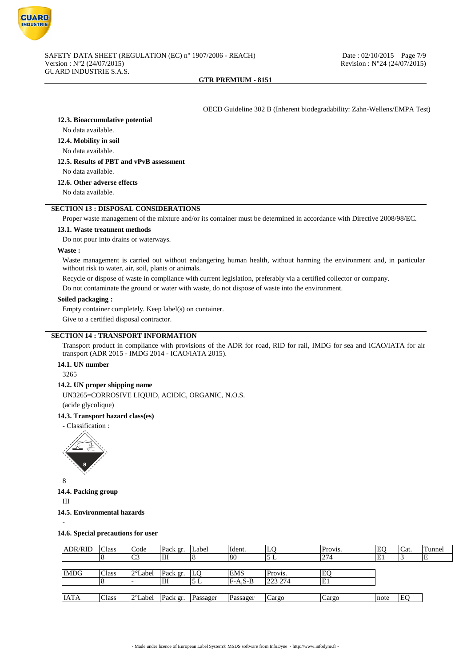

OECD Guideline 302 B (Inherent biodegradability: Zahn-Wellens/EMPA Test)

**12.3. Bioaccumulative potential**

No data available.

**12.4. Mobility in soil**

No data available.

## **12.5. Results of PBT and vPvB assessment**

No data available.

**12.6. Other adverse effects**

No data available.

#### **SECTION 13 : DISPOSAL CONSIDERATIONS**

Proper waste management of the mixture and/or its container must be determined in accordance with Directive 2008/98/EC.

#### **13.1. Waste treatment methods**

Do not pour into drains or waterways.

#### **Waste :**

Waste management is carried out without endangering human health, without harming the environment and, in particular without risk to water, air, soil, plants or animals.

Recycle or dispose of waste in compliance with current legislation, preferably via a certified collector or company.

Do not contaminate the ground or water with waste, do not dispose of waste into the environment.

#### **Soiled packaging :**

Empty container completely. Keep label(s) on container.

Give to a certified disposal contractor.

## **SECTION 14 : TRANSPORT INFORMATION**

Transport product in compliance with provisions of the ADR for road, RID for rail, IMDG for sea and ICAO/IATA for air transport (ADR 2015 - IMDG 2014 - ICAO/IATA 2015).

## **14.1. UN number**

3265

#### **14.2. UN proper shipping name**

UN3265=CORROSIVE LIQUID, ACIDIC, ORGANIC, N.O.S. (acide glycolique)

#### **14.3. Transport hazard class(es)**



8

**14.4. Packing group**

III

-

**14.5. Environmental hazards**

**14.6. Special precautions for user**

| <b>ADR/RID</b> | Class   | Code              | Pack gr. | Label      | Ident.     | LQ      | Provis. | EO   | Cat. | Tunnel |
|----------------|---------|-------------------|----------|------------|------------|---------|---------|------|------|--------|
|                | $\circ$ | C <sub>3</sub>    | Ш        |            | 80         | 5 L     | 274     | E1   |      | IΕ     |
|                |         |                   |          |            |            |         |         |      |      |        |
| <b>IMDG</b>    | Class   | $2^{\circ}$ Label | Pack gr. | <b>ILO</b> | <b>EMS</b> | Provis. | EQ      |      |      |        |
|                |         |                   | Ш        | 5 L        | $F-A,S-B$  | 223 274 | E1      |      |      |        |
|                |         |                   |          |            |            |         |         |      |      |        |
| <b>IATA</b>    | Class   | 2°Label           | Pack gr. | Passager   | Passager   | Cargo   | Cargo   | note | EO   |        |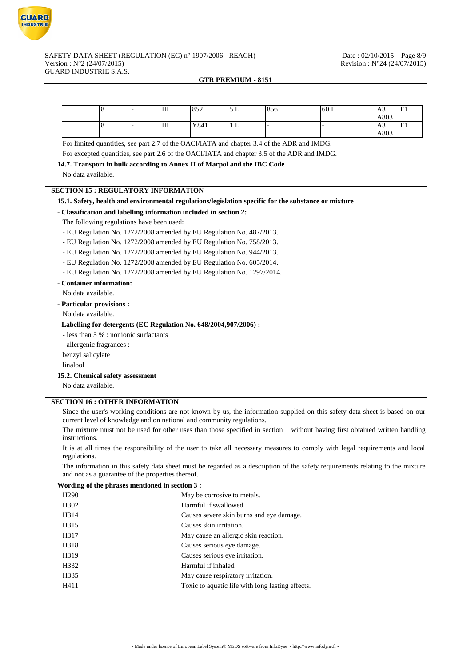

#### SAFETY DATA SHEET (REGULATION (EC) n° 1907/2006 - REACH) Date : 02/10/2015 Page 8/9 Version : N°2 (24/07/2015) Revision : N°24 (24/07/2015) GUARD INDUSTRIE S.A.S.

#### **GTR PREMIUM - 8151**

|  | Ш | $\sqrt{25}$<br>032 | ىد ر<br>$\overline{\phantom{a}}$ | 856 | 60 L | A3   | $\mathbf{r}$<br> EI             |
|--|---|--------------------|----------------------------------|-----|------|------|---------------------------------|
|  |   |                    |                                  |     |      | A803 |                                 |
|  | Ш | Y841               | 1 L                              |     |      | A3   | $\overline{\phantom{0}}$<br> EI |
|  |   |                    |                                  |     |      | A803 |                                 |

For limited quantities, see part 2.7 of the OACI/IATA and chapter 3.4 of the ADR and IMDG.

For excepted quantities, see part 2.6 of the OACI/IATA and chapter 3.5 of the ADR and IMDG.

**14.7. Transport in bulk according to Annex II of Marpol and the IBC Code**

No data available.

## **SECTION 15 : REGULATORY INFORMATION**

#### **15.1. Safety, health and environmental regulations/legislation specific for the substance or mixture**

#### **- Classification and labelling information included in section 2:**

The following regulations have been used:

- EU Regulation No. 1272/2008 amended by EU Regulation No. 487/2013.
- EU Regulation No. 1272/2008 amended by EU Regulation No. 758/2013.
- EU Regulation No. 1272/2008 amended by EU Regulation No. 944/2013.

- EU Regulation No. 1272/2008 amended by EU Regulation No. 605/2014.

- EU Regulation No. 1272/2008 amended by EU Regulation No. 1297/2014.

## **- Container information:**

No data available.

**- Particular provisions :**

## No data available.

## **- Labelling for detergents (EC Regulation No. 648/2004,907/2006) :**

- less than 5 % : nonionic surfactants

- allergenic fragrances :

benzyl salicylate

linalool

# **15.2. Chemical safety assessment**

No data available.

## **SECTION 16 : OTHER INFORMATION**

Since the user's working conditions are not known by us, the information supplied on this safety data sheet is based on our current level of knowledge and on national and community regulations.

The mixture must not be used for other uses than those specified in section 1 without having first obtained written handling instructions.

It is at all times the responsibility of the user to take all necessary measures to comply with legal requirements and local regulations.

The information in this safety data sheet must be regarded as a description of the safety requirements relating to the mixture and not as a guarantee of the properties thereof.

#### **Wording of the phrases mentioned in section 3 :**

| H <sub>290</sub> | May be corrosive to metals.                      |
|------------------|--------------------------------------------------|
| H302             | Harmful if swallowed.                            |
| H314             | Causes severe skin burns and eye damage.         |
| H315             | Causes skin irritation.                          |
| H317             | May cause an allergic skin reaction.             |
| H318             | Causes serious eye damage.                       |
| H319             | Causes serious eye irritation.                   |
| H332             | Harmful if inhaled.                              |
| H335             | May cause respiratory irritation.                |
| H411             | Toxic to aquatic life with long lasting effects. |
|                  |                                                  |